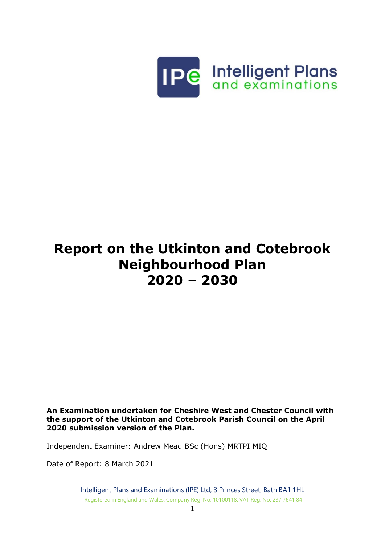

# **Report on the Utkinton and Cotebrook Neighbourhood Plan 2020 – 2030**

**An Examination undertaken for Cheshire West and Chester Council with the support of the Utkinton and Cotebrook Parish Council on the April 2020 submission version of the Plan.**

Independent Examiner: Andrew Mead BSc (Hons) MRTPI MIQ

Date of Report: 8 March 2021

Intelligent Plans and Examinations (IPE) Ltd, 3 Princes Street, Bath BA1 1HL Registered in England and Wales. Company Reg. No. 10100118. VAT Reg. No. 237 7641 84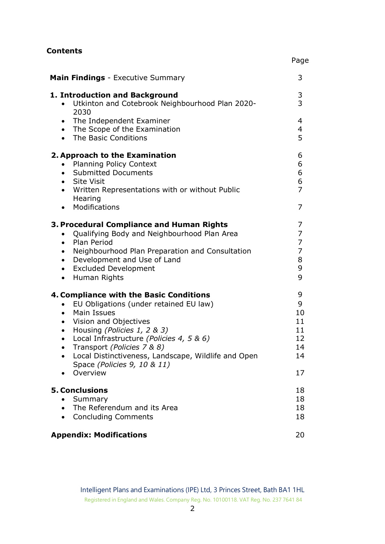| <b>Contents</b>                                                                                                                                                                                                                                                                                                                                                                 | Page                                                      |
|---------------------------------------------------------------------------------------------------------------------------------------------------------------------------------------------------------------------------------------------------------------------------------------------------------------------------------------------------------------------------------|-----------------------------------------------------------|
| <b>Main Findings</b> - Executive Summary                                                                                                                                                                                                                                                                                                                                        | 3                                                         |
| 1. Introduction and Background<br>Utkinton and Cotebrook Neighbourhood Plan 2020-<br>$\bullet$<br>2030                                                                                                                                                                                                                                                                          | 3<br>$\overline{3}$                                       |
| • The Independent Examiner<br>• The Scope of the Examination<br>The Basic Conditions<br>$\bullet$                                                                                                                                                                                                                                                                               | 4<br>4<br>5                                               |
| 2. Approach to the Examination<br><b>Planning Policy Context</b><br>$\bullet$<br>• Submitted Documents<br>• Site Visit<br>Written Representations with or without Public<br>$\bullet$<br>Hearing<br>Modifications<br>$\bullet$                                                                                                                                                  | 6<br>6<br>6<br>6<br>$\overline{7}$<br>7                   |
| 3. Procedural Compliance and Human Rights<br>Qualifying Body and Neighbourhood Plan Area<br>$\bullet$<br>• Plan Period<br>Neighbourhood Plan Preparation and Consultation<br>$\bullet$<br>Development and Use of Land<br>$\bullet$<br><b>Excluded Development</b><br>$\bullet$<br>Human Rights<br>$\bullet$                                                                     | 7<br>7<br>$\overline{7}$<br>$\overline{7}$<br>8<br>9<br>9 |
| 4. Compliance with the Basic Conditions<br>EU Obligations (under retained EU law)<br>$\bullet$<br>• Main Issues<br>• Vision and Objectives<br>Housing (Policies 1, 2 & 3)<br>$\bullet$<br>Local Infrastructure (Policies 4, 5 & 6)<br>Transport (Policies 7 & 8)<br>Local Distinctiveness, Landscape, Wildlife and Open<br>$\bullet$<br>Space (Policies 9, 10 & 11)<br>Overview | 9<br>9<br>10<br>11<br>11<br>12<br>14<br>14<br>17          |
| <b>5. Conclusions</b><br>Summary<br>The Referendum and its Area<br>$\bullet$<br><b>Concluding Comments</b><br>$\bullet$                                                                                                                                                                                                                                                         | 18<br>18<br>18<br>18                                      |
| <b>Appendix: Modifications</b>                                                                                                                                                                                                                                                                                                                                                  | 20                                                        |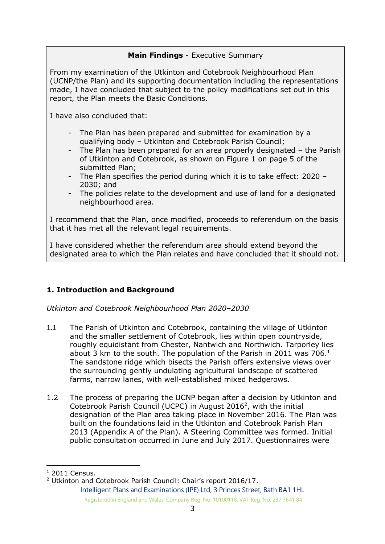## **Main Findings** - Executive Summary

From my examination of the Utkinton and Cotebrook Neighbourhood Plan (UCNP/the Plan) and its supporting documentation including the representations made, I have concluded that subject to the policy modifications set out in this report, the Plan meets the Basic Conditions.

I have also concluded that:

- The Plan has been prepared and submitted for examination by a qualifying body – Utkinton and Cotebrook Parish Council;
- The Plan has been prepared for an area properly designated the Parish of Utkinton and Cotebrook, as shown on Figure 1 on page 5 of the submitted Plan;
- The Plan specifies the period during which it is to take effect: 2020 2030; and
- The policies relate to the development and use of land for a designated neighbourhood area.

I recommend that the Plan, once modified, proceeds to referendum on the basis that it has met all the relevant legal requirements.

I have considered whether the referendum area should extend beyond the designated area to which the Plan relates and have concluded that it should not.

## **1. Introduction and Background**

*Utkinton and Cotebrook Neighbourhood Plan 2020–2030*

- 1.1 The Parish of Utkinton and Cotebrook, containing the village of Utkinton and the smaller settlement of Cotebrook, lies within open countryside, roughly equidistant from Chester, Nantwich and Northwich. Tarporley lies about 3 km to the south. The population of the Parish in 2011 was 706.<sup>1</sup> The sandstone ridge which bisects the Parish offers extensive views over the surrounding gently undulating agricultural landscape of scattered farms, narrow lanes, with well-established mixed hedgerows.
- 1.2 The process of preparing the UCNP began after a decision by Utkinton and Cotebrook Parish Council (UCPC) in August 2016<sup>2</sup>, with the initial designation of the Plan area taking place in November 2016. The Plan was built on the foundations laid in the Utkinton and Cotebrook Parish Plan 2013 (Appendix A of the Plan). A Steering Committee was formed. Initial public consultation occurred in June and July 2017. Questionnaires were

 $1$  2011 Census.

Intelligent Plans and Examinations (IPE) Ltd, 3 Princes Street, Bath BA1 1HL Registered in England and Wales. Company Reg. No. 10100118. VAT Reg. No. 237 7641 84 <sup>2</sup> Utkinton and Cotebrook Parish Council: Chair's report 2016/17.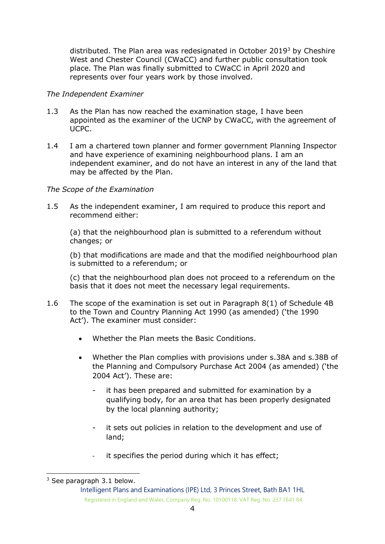distributed. The Plan area was redesignated in October 2019<sup>3</sup> by Cheshire West and Chester Council (CWaCC) and further public consultation took place. The Plan was finally submitted to CWaCC in April 2020 and represents over four years work by those involved.

#### *The Independent Examiner*

- 1.3 As the Plan has now reached the examination stage, I have been appointed as the examiner of the UCNP by CWaCC, with the agreement of UCPC.
- 1.4 I am a chartered town planner and former government Planning Inspector and have experience of examining neighbourhood plans. I am an independent examiner, and do not have an interest in any of the land that may be affected by the Plan.

#### *The Scope of the Examination*

1.5 As the independent examiner, I am required to produce this report and recommend either:

(a) that the neighbourhood plan is submitted to a referendum without changes; or

(b) that modifications are made and that the modified neighbourhood plan is submitted to a referendum; or

(c) that the neighbourhood plan does not proceed to a referendum on the basis that it does not meet the necessary legal requirements.

- 1.6 The scope of the examination is set out in Paragraph 8(1) of Schedule 4B to the Town and Country Planning Act 1990 (as amended) ('the 1990 Act'). The examiner must consider:
	- Whether the Plan meets the Basic Conditions.
	- Whether the Plan complies with provisions under s.38A and s.38B of the Planning and Compulsory Purchase Act 2004 (as amended) ('the 2004 Act'). These are:
		- it has been prepared and submitted for examination by a qualifying body, for an area that has been properly designated by the local planning authority;
		- it sets out policies in relation to the development and use of land;
		- it specifies the period during which it has effect;

<sup>&</sup>lt;sup>3</sup> See paragraph 3.1 below.

Intelligent Plans and Examinations (IPE) Ltd, 3 Princes Street, Bath BA1 1HL Registered in England and Wales. Company Reg. No. 10100118. VAT Reg. No. 237 7641 84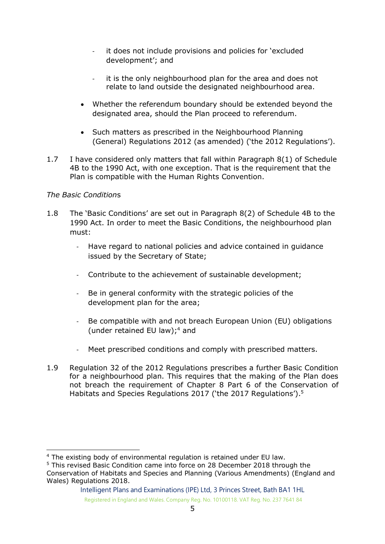- it does not include provisions and policies for 'excluded development'; and
- it is the only neighbourhood plan for the area and does not relate to land outside the designated neighbourhood area.
- Whether the referendum boundary should be extended beyond the designated area, should the Plan proceed to referendum.
- Such matters as prescribed in the Neighbourhood Planning (General) Regulations 2012 (as amended) ('the 2012 Regulations').
- 1.7 I have considered only matters that fall within Paragraph 8(1) of Schedule 4B to the 1990 Act, with one exception. That is the requirement that the Plan is compatible with the Human Rights Convention.

#### *The Basic Condition*s

- 1.8 The 'Basic Conditions' are set out in Paragraph 8(2) of Schedule 4B to the 1990 Act. In order to meet the Basic Conditions, the neighbourhood plan must:
	- Have regard to national policies and advice contained in guidance issued by the Secretary of State;
	- Contribute to the achievement of sustainable development;
	- Be in general conformity with the strategic policies of the development plan for the area;
	- Be compatible with and not breach European Union (EU) obligations (under retained EU law); <sup>4</sup> and
	- Meet prescribed conditions and comply with prescribed matters.
- 1.9 Regulation 32 of the 2012 Regulations prescribes a further Basic Condition for a neighbourhood plan. This requires that the making of the Plan does not breach the requirement of Chapter 8 Part 6 of the Conservation of Habitats and Species Regulations 2017 ('the 2017 Regulations').<sup>5</sup>

Intelligent Plans and Examinations (IPE) Ltd, 3 Princes Street, Bath BA1 1HL Registered in England and Wales. Company Reg. No. 10100118. VAT Reg. No. 237 7641 84

<sup>4</sup> The existing body of environmental regulation is retained under EU law.

<sup>5</sup> This revised Basic Condition came into force on 28 December 2018 through the Conservation of Habitats and Species and Planning (Various Amendments) (England and Wales) Regulations 2018.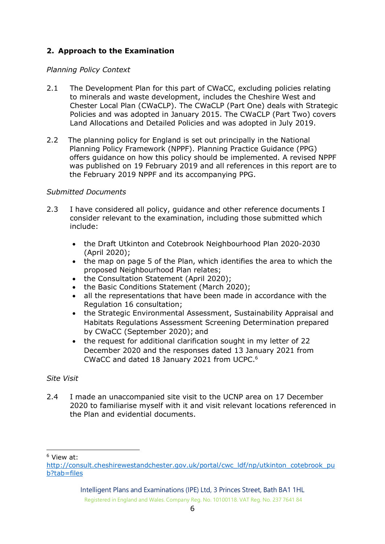## **2. Approach to the Examination**

#### *Planning Policy Context*

- 2.1 The Development Plan for this part of CWaCC, excluding policies relating to minerals and waste development, includes the Cheshire West and Chester Local Plan (CWaCLP). The CWaCLP (Part One) deals with Strategic Policies and was adopted in January 2015. The CWaCLP (Part Two) covers Land Allocations and Detailed Policies and was adopted in July 2019.
- 2.2 The planning policy for England is set out principally in the National Planning Policy Framework (NPPF). Planning Practice Guidance (PPG) offers guidance on how this policy should be implemented. A revised NPPF was published on 19 February 2019 and all references in this report are to the February 2019 NPPF and its accompanying PPG.

#### *Submitted Documents*

- 2.3 I have considered all policy, quidance and other reference documents I consider relevant to the examination, including those submitted which include:
	- the Draft Utkinton and Cotebrook Neighbourhood Plan 2020-2030 (April 2020);
	- the map on page 5 of the Plan, which identifies the area to which the proposed Neighbourhood Plan relates;
	- the Consultation Statement (April 2020);
	- the Basic Conditions Statement (March 2020);
	- all the representations that have been made in accordance with the Regulation 16 consultation;
	- the Strategic Environmental Assessment, Sustainability Appraisal and Habitats Regulations Assessment Screening Determination prepared by CWaCC (September 2020); and
	- the request for additional clarification sought in my letter of 22 December 2020 and the responses dated 13 January 2021 from CWaCC and dated 18 January 2021 from UCPC. 6

## *Site Visit*

2.4 I made an unaccompanied site visit to the UCNP area on 17 December 2020 to familiarise myself with it and visit relevant locations referenced in the Plan and evidential documents.

<sup>6</sup> View at:

[http://consult.cheshirewestandchester.gov.uk/portal/cwc\\_ldf/np/utkinton\\_cotebrook\\_pu](http://consult.cheshirewestandchester.gov.uk/portal/cwc_ldf/np/utkinton_cotebrook_pub?tab=files) [b?tab=files](http://consult.cheshirewestandchester.gov.uk/portal/cwc_ldf/np/utkinton_cotebrook_pub?tab=files)

Intelligent Plans and Examinations (IPE) Ltd, 3 Princes Street, Bath BA1 1HL Registered in England and Wales. Company Reg. No. 10100118. VAT Reg. No. 237 7641 84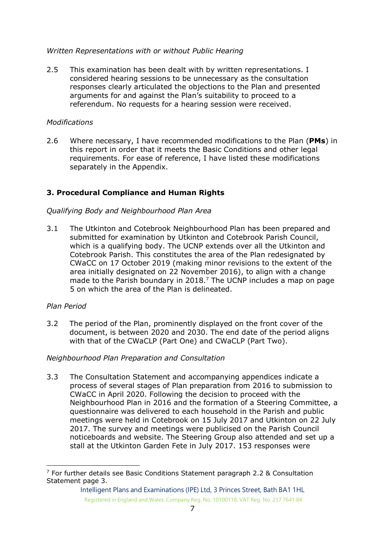#### *Written Representations with or without Public Hearing*

2.5 This examination has been dealt with by written representations. I considered hearing sessions to be unnecessary as the consultation responses clearly articulated the objections to the Plan and presented arguments for and against the Plan's suitability to proceed to a referendum. No requests for a hearing session were received.

#### *Modifications*

2.6 Where necessary, I have recommended modifications to the Plan (**PMs**) in this report in order that it meets the Basic Conditions and other legal requirements. For ease of reference, I have listed these modifications separately in the Appendix.

## **3. Procedural Compliance and Human Rights**

#### *Qualifying Body and Neighbourhood Plan Area*

3.1 The Utkinton and Cotebrook Neighbourhood Plan has been prepared and submitted for examination by Utkinton and Cotebrook Parish Council, which is a qualifying body. The UCNP extends over all the Utkinton and Cotebrook Parish. This constitutes the area of the Plan redesignated by CWaCC on 17 October 2019 (making minor revisions to the extent of the area initially designated on 22 November 2016), to align with a change made to the Parish boundary in 2018.<sup>7</sup> The UCNP includes a map on page 5 on which the area of the Plan is delineated.

#### *Plan Period*

3.2 The period of the Plan, prominently displayed on the front cover of the document, is between 2020 and 2030. The end date of the period aligns with that of the CWaCLP (Part One) and CWaCLP (Part Two).

#### *Neighbourhood Plan Preparation and Consultation*

3.3 The Consultation Statement and accompanying appendices indicate a process of several stages of Plan preparation from 2016 to submission to CWaCC in April 2020. Following the decision to proceed with the Neighbourhood Plan in 2016 and the formation of a Steering Committee, a questionnaire was delivered to each household in the Parish and public meetings were held in Cotebrook on 15 July 2017 and Utkinton on 22 July 2017. The survey and meetings were publicised on the Parish Council noticeboards and website. The Steering Group also attended and set up a stall at the Utkinton Garden Fete in July 2017. 153 responses were

 $7$  For further details see Basic Conditions Statement paragraph 2.2 & Consultation Statement page 3.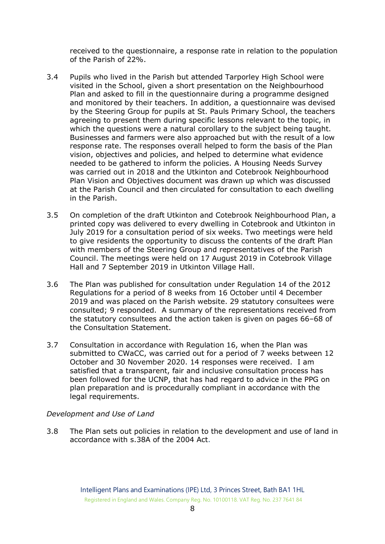received to the questionnaire, a response rate in relation to the population of the Parish of 22%.

- 3.4 Pupils who lived in the Parish but attended Tarporley High School were visited in the School, given a short presentation on the Neighbourhood Plan and asked to fill in the questionnaire during a programme designed and monitored by their teachers. In addition, a questionnaire was devised by the Steering Group for pupils at St. Pauls Primary School, the teachers agreeing to present them during specific lessons relevant to the topic, in which the questions were a natural corollary to the subject being taught. Businesses and farmers were also approached but with the result of a low response rate. The responses overall helped to form the basis of the Plan vision, objectives and policies, and helped to determine what evidence needed to be gathered to inform the policies. A Housing Needs Survey was carried out in 2018 and the Utkinton and Cotebrook Neighbourhood Plan Vision and Objectives document was drawn up which was discussed at the Parish Council and then circulated for consultation to each dwelling in the Parish.
- 3.5 On completion of the draft Utkinton and Cotebrook Neighbourhood Plan, a printed copy was delivered to every dwelling in Cotebrook and Utkinton in July 2019 for a consultation period of six weeks. Two meetings were held to give residents the opportunity to discuss the contents of the draft Plan with members of the Steering Group and representatives of the Parish Council. The meetings were held on 17 August 2019 in Cotebrook Village Hall and 7 September 2019 in Utkinton Village Hall.
- 3.6 The Plan was published for consultation under Regulation 14 of the 2012 Regulations for a period of 8 weeks from 16 October until 4 December 2019 and was placed on the Parish website. 29 statutory consultees were consulted; 9 responded. A summary of the representations received from the statutory consultees and the action taken is given on pages 66–68 of the Consultation Statement.
- 3.7 Consultation in accordance with Regulation 16, when the Plan was submitted to CWaCC, was carried out for a period of 7 weeks between 12 October and 30 November 2020. 14 responses were received. I am satisfied that a transparent, fair and inclusive consultation process has been followed for the UCNP, that has had regard to advice in the PPG on plan preparation and is procedurally compliant in accordance with the legal requirements.

#### *Development and Use of Land*

3.8 The Plan sets out policies in relation to the development and use of land in accordance with s.38A of the 2004 Act.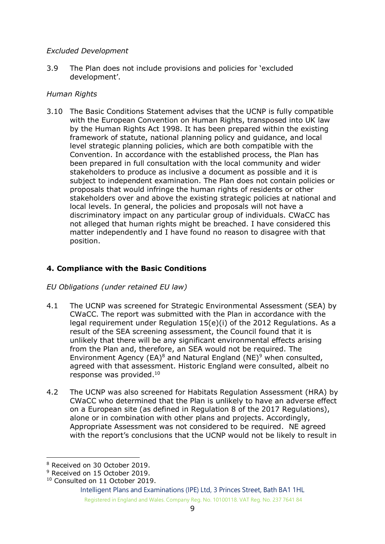#### *Excluded Development*

3.9 The Plan does not include provisions and policies for 'excluded development'.

#### *Human Rights*

3.10 The Basic Conditions Statement advises that the UCNP is fully compatible with the European Convention on Human Rights, transposed into UK law by the Human Rights Act 1998. It has been prepared within the existing framework of statute, national planning policy and guidance, and local level strategic planning policies, which are both compatible with the Convention. In accordance with the established process, the Plan has been prepared in full consultation with the local community and wider stakeholders to produce as inclusive a document as possible and it is subject to independent examination. The Plan does not contain policies or proposals that would infringe the human rights of residents or other stakeholders over and above the existing strategic policies at national and local levels. In general, the policies and proposals will not have a discriminatory impact on any particular group of individuals. CWaCC has not alleged that human rights might be breached. I have considered this matter independently and I have found no reason to disagree with that position.

#### **4. Compliance with the Basic Conditions**

#### *EU Obligations (under retained EU law)*

- 4.1 The UCNP was screened for Strategic Environmental Assessment (SEA) by CWaCC. The report was submitted with the Plan in accordance with the legal requirement under Regulation 15(e)(i) of the 2012 Regulations. As a result of the SEA screening assessment, the Council found that it is unlikely that there will be any significant environmental effects arising from the Plan and, therefore, an SEA would not be required. The Environment Agency (EA)<sup>8</sup> and Natural England (NE)<sup>9</sup> when consulted, agreed with that assessment. Historic England were consulted, albeit no response was provided. 10
- 4.2 The UCNP was also screened for Habitats Regulation Assessment (HRA) by CWaCC who determined that the Plan is unlikely to have an adverse effect on a European site (as defined in Regulation 8 of the 2017 Regulations), alone or in combination with other plans and projects. Accordingly, Appropriate Assessment was not considered to be required. NE agreed with the report's conclusions that the UCNP would not be likely to result in

<sup>8</sup> Received on 30 October 2019.

<sup>&</sup>lt;sup>9</sup> Received on 15 October 2019.

<sup>&</sup>lt;sup>10</sup> Consulted on 11 October 2019.

Intelligent Plans and Examinations (IPE) Ltd, 3 Princes Street, Bath BA1 1HL Registered in England and Wales. Company Reg. No. 10100118. VAT Reg. No. 237 7641 84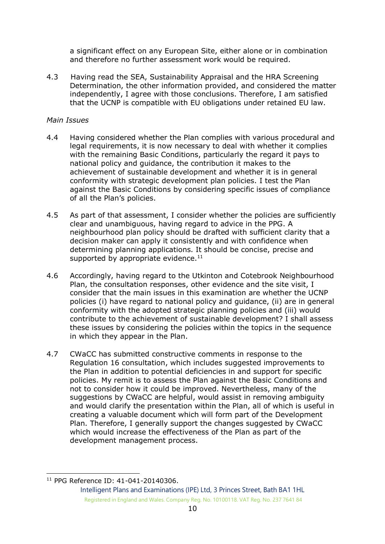a significant effect on any European Site, either alone or in combination and therefore no further assessment work would be required.

4.3 Having read the SEA, Sustainability Appraisal and the HRA Screening Determination, the other information provided, and considered the matter independently, I agree with those conclusions. Therefore, I am satisfied that the UCNP is compatible with EU obligations under retained EU law.

#### *Main Issues*

- 4.4 Having considered whether the Plan complies with various procedural and legal requirements, it is now necessary to deal with whether it complies with the remaining Basic Conditions, particularly the regard it pays to national policy and guidance, the contribution it makes to the achievement of sustainable development and whether it is in general conformity with strategic development plan policies. I test the Plan against the Basic Conditions by considering specific issues of compliance of all the Plan's policies.
- 4.5 As part of that assessment, I consider whether the policies are sufficiently clear and unambiguous, having regard to advice in the PPG. A neighbourhood plan policy should be drafted with sufficient clarity that a decision maker can apply it consistently and with confidence when determining planning applications. It should be concise, precise and supported by appropriate evidence. $11$
- 4.6 Accordingly, having regard to the Utkinton and Cotebrook Neighbourhood Plan, the consultation responses, other evidence and the site visit, I consider that the main issues in this examination are whether the UCNP policies (i) have regard to national policy and guidance, (ii) are in general conformity with the adopted strategic planning policies and (iii) would contribute to the achievement of sustainable development? I shall assess these issues by considering the policies within the topics in the sequence in which they appear in the Plan.
- 4.7 CWaCC has submitted constructive comments in response to the Regulation 16 consultation, which includes suggested improvements to the Plan in addition to potential deficiencies in and support for specific policies. My remit is to assess the Plan against the Basic Conditions and not to consider how it could be improved. Nevertheless, many of the suggestions by CWaCC are helpful, would assist in removing ambiguity and would clarify the presentation within the Plan, all of which is useful in creating a valuable document which will form part of the Development Plan. Therefore, I generally support the changes suggested by CWaCC which would increase the effectiveness of the Plan as part of the development management process.

<sup>11</sup> PPG Reference ID: 41-041-20140306.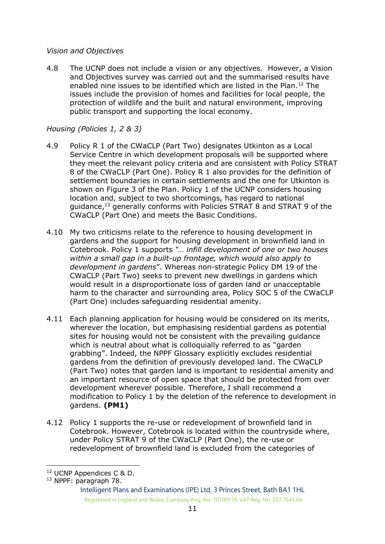#### *Vision and Objectives*

4.8 The UCNP does not include a vision or any objectives. However, a Vision and Objectives survey was carried out and the summarised results have enabled nine issues to be identified which are listed in the Plan.<sup>12</sup> The issues include the provision of homes and facilities for local people, the protection of wildlife and the built and natural environment, improving public transport and supporting the local economy.

## *Housing (Policies 1, 2 & 3)*

- 4.9 Policy R 1 of the CWaCLP (Part Two) designates Utkinton as a Local Service Centre in which development proposals will be supported where they meet the relevant policy criteria and are consistent with Policy STRAT 8 of the CWaCLP (Part One). Policy R 1 also provides for the definition of settlement boundaries in certain settlements and the one for Utkinton is shown on Figure 3 of the Plan. Policy 1 of the UCNP considers housing location and, subject to two shortcomings, has regard to national guidance,<sup>13</sup> generally conforms with Policies STRAT 8 and STRAT 9 of the CWaCLP (Part One) and meets the Basic Conditions.
- 4.10 My two criticisms relate to the reference to housing development in gardens and the support for housing development in brownfield land in Cotebrook. Policy 1 supports *"… infill development of one or two houses within a small gap in a built-up frontage, which would also apply to development in gardens*". Whereas non-strategic Policy DM 19 of the CWaCLP (Part Two) seeks to prevent new dwellings in gardens which would result in a disproportionate loss of garden land or unacceptable harm to the character and surrounding area, Policy SOC 5 of the CWaCLP (Part One) includes safeguarding residential amenity.
- 4.11 Each planning application for housing would be considered on its merits, wherever the location, but emphasising residential gardens as potential sites for housing would not be consistent with the prevailing guidance which is neutral about what is colloquially referred to as "garden" grabbing". Indeed, the NPPF Glossary explicitly excludes residential gardens from the definition of previously developed land. The CWaCLP (Part Two) notes that garden land is important to residential amenity and an important resource of open space that should be protected from over development wherever possible. Therefore, I shall recommend a modification to Policy 1 by the deletion of the reference to development in gardens. **(PM1)**
- 4.12 Policy 1 supports the re-use or redevelopment of brownfield land in Cotebrook. However, Cotebrook is located within the countryside where, under Policy STRAT 9 of the CWaCLP (Part One), the re-use or redevelopment of brownfield land is excluded from the categories of

<sup>12</sup> UCNP Appendices C & D.

<sup>13</sup> NPPF: paragraph 78.

Intelligent Plans and Examinations (IPE) Ltd, 3 Princes Street, Bath BA1 1HL Registered in England and Wales. Company Reg. No. 10100118. VAT Reg. No. 237 7641 84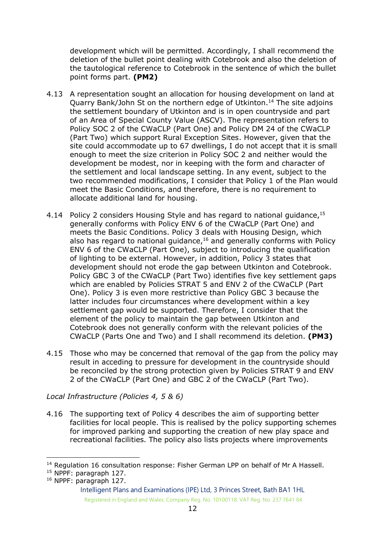development which will be permitted. Accordingly, I shall recommend the deletion of the bullet point dealing with Cotebrook and also the deletion of the tautological reference to Cotebrook in the sentence of which the bullet point forms part. **(PM2)**

- 4.13 A representation sought an allocation for housing development on land at Quarry Bank/John St on the northern edge of Utkinton.<sup>14</sup> The site adjoins the settlement boundary of Utkinton and is in open countryside and part of an Area of Special County Value (ASCV). The representation refers to Policy SOC 2 of the CWaCLP (Part One) and Policy DM 24 of the CWaCLP (Part Two) which support Rural Exception Sites. However, given that the site could accommodate up to 67 dwellings, I do not accept that it is small enough to meet the size criterion in Policy SOC 2 and neither would the development be modest, nor in keeping with the form and character of the settlement and local landscape setting. In any event, subject to the two recommended modifications, I consider that Policy 1 of the Plan would meet the Basic Conditions, and therefore, there is no requirement to allocate additional land for housing.
- 4.14 Policy 2 considers Housing Style and has regard to national guidance, 15 generally conforms with Policy ENV 6 of the CWaCLP (Part One) and meets the Basic Conditions. Policy 3 deals with Housing Design, which also has regard to national guidance,<sup>16</sup> and generally conforms with Policy ENV 6 of the CWaCLP (Part One), subject to introducing the qualification of lighting to be external. However, in addition, Policy 3 states that development should not erode the gap between Utkinton and Cotebrook. Policy GBC 3 of the CWaCLP (Part Two) identifies five key settlement gaps which are enabled by Policies STRAT 5 and ENV 2 of the CWaCLP (Part One). Policy 3 is even more restrictive than Policy GBC 3 because the latter includes four circumstances where development within a key settlement gap would be supported. Therefore, I consider that the element of the policy to maintain the gap between Utkinton and Cotebrook does not generally conform with the relevant policies of the CWaCLP (Parts One and Two) and I shall recommend its deletion. **(PM3)**
- 4.15 Those who may be concerned that removal of the gap from the policy may result in acceding to pressure for development in the countryside should be reconciled by the strong protection given by Policies STRAT 9 and ENV 2 of the CWaCLP (Part One) and GBC 2 of the CWaCLP (Part Two).

#### *Local Infrastructure (Policies 4, 5 & 6)*

4.16 The supporting text of Policy 4 describes the aim of supporting better facilities for local people. This is realised by the policy supporting schemes for improved parking and supporting the creation of new play space and recreational facilities. The policy also lists projects where improvements

<sup>16</sup> NPPF: paragraph 127.

<sup>&</sup>lt;sup>14</sup> Regulation 16 consultation response: Fisher German LPP on behalf of Mr A Hassell.

<sup>&</sup>lt;sup>15</sup> NPPF: paragraph 127.

Intelligent Plans and Examinations (IPE) Ltd, 3 Princes Street, Bath BA1 1HL Registered in England and Wales. Company Reg. No. 10100118. VAT Reg. No. 237 7641 84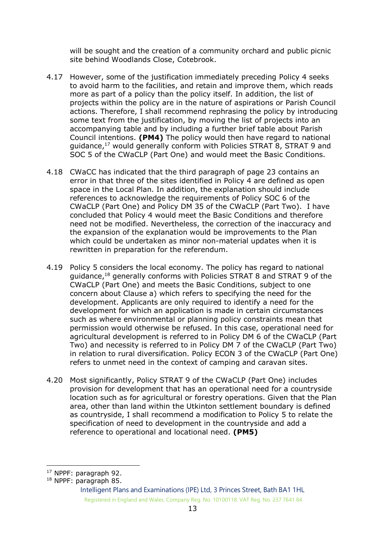will be sought and the creation of a community orchard and public picnic site behind Woodlands Close, Cotebrook.

- 4.17 However, some of the justification immediately preceding Policy 4 seeks to avoid harm to the facilities, and retain and improve them, which reads more as part of a policy than the policy itself. In addition, the list of projects within the policy are in the nature of aspirations or Parish Council actions. Therefore, I shall recommend rephrasing the policy by introducing some text from the justification, by moving the list of projects into an accompanying table and by including a further brief table about Parish Council intentions. **(PM4)** The policy would then have regard to national guidance,<sup>17</sup> would generally conform with Policies STRAT 8, STRAT 9 and SOC 5 of the CWaCLP (Part One) and would meet the Basic Conditions.
- 4.18 CWaCC has indicated that the third paragraph of page 23 contains an error in that three of the sites identified in Policy 4 are defined as open space in the Local Plan. In addition, the explanation should include references to acknowledge the requirements of Policy SOC 6 of the CWaCLP (Part One) and Policy DM 35 of the CWaCLP (Part Two). I have concluded that Policy 4 would meet the Basic Conditions and therefore need not be modified. Nevertheless, the correction of the inaccuracy and the expansion of the explanation would be improvements to the Plan which could be undertaken as minor non-material updates when it is rewritten in preparation for the referendum.
- 4.19 Policy 5 considers the local economy. The policy has regard to national guidance,<sup>18</sup> generally conforms with Policies STRAT 8 and STRAT 9 of the CWaCLP (Part One) and meets the Basic Conditions, subject to one concern about Clause a) which refers to specifying the need for the development. Applicants are only required to identify a need for the development for which an application is made in certain circumstances such as where environmental or planning policy constraints mean that permission would otherwise be refused. In this case, operational need for agricultural development is referred to in Policy DM 6 of the CWaCLP (Part Two) and necessity is referred to in Policy DM 7 of the CWaCLP (Part Two) in relation to rural diversification. Policy ECON 3 of the CWaCLP (Part One) refers to unmet need in the context of camping and caravan sites.
- 4.20 Most significantly, Policy STRAT 9 of the CWaCLP (Part One) includes provision for development that has an operational need for a countryside location such as for agricultural or forestry operations. Given that the Plan area, other than land within the Utkinton settlement boundary is defined as countryside, I shall recommend a modification to Policy 5 to relate the specification of need to development in the countryside and add a reference to operational and locational need. **(PM5)**

<sup>17</sup> NPPF: paragraph 92.

<sup>18</sup> NPPF: paragraph 85.

Intelligent Plans and Examinations (IPE) Ltd, 3 Princes Street, Bath BA1 1HL Registered in England and Wales. Company Reg. No. 10100118. VAT Reg. No. 237 7641 84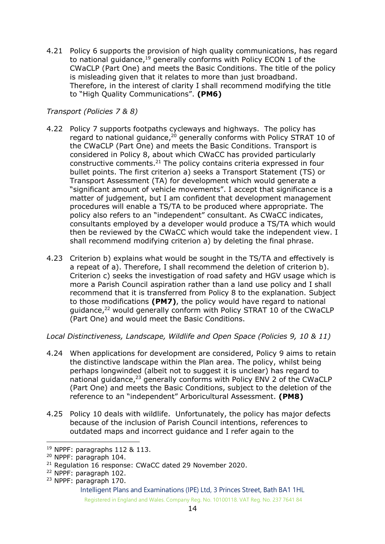4.21 Policy 6 supports the provision of high quality communications, has regard to national guidance,<sup>19</sup> generally conforms with Policy ECON 1 of the CWaCLP (Part One) and meets the Basic Conditions. The title of the policy is misleading given that it relates to more than just broadband. Therefore, in the interest of clarity I shall recommend modifying the title to "High Quality Communications". **(PM6)**

## *Transport (Policies 7 & 8)*

- 4.22 Policy 7 supports footpaths cycleways and highways. The policy has regard to national guidance, $20$  generally conforms with Policy STRAT 10 of the CWaCLP (Part One) and meets the Basic Conditions. Transport is considered in Policy 8, about which CWaCC has provided particularly constructive comments.<sup>21</sup> The policy contains criteria expressed in four bullet points. The first criterion a) seeks a Transport Statement (TS) or Transport Assessment (TA) for development which would generate a "significant amount of vehicle movements". I accept that significance is a matter of judgement, but I am confident that development management procedures will enable a TS/TA to be produced where appropriate. The policy also refers to an "independent" consultant. As CWaCC indicates, consultants employed by a developer would produce a TS/TA which would then be reviewed by the CWaCC which would take the independent view. I shall recommend modifying criterion a) by deleting the final phrase.
- 4.23 Criterion b) explains what would be sought in the TS/TA and effectively is a repeat of a). Therefore, I shall recommend the deletion of criterion b). Criterion c) seeks the investigation of road safety and HGV usage which is more a Parish Council aspiration rather than a land use policy and I shall recommend that it is transferred from Policy 8 to the explanation. Subject to those modifications **(PM7)**, the policy would have regard to national guidance,<sup>22</sup> would generally conform with Policy STRAT 10 of the CWaCLP (Part One) and would meet the Basic Conditions.

*Local Distinctiveness, Landscape, Wildlife and Open Space (Policies 9, 10 & 11)*

- 4.24 When applications for development are considered, Policy 9 aims to retain the distinctive landscape within the Plan area. The policy, whilst being perhaps longwinded (albeit not to suggest it is unclear) has regard to national guidance,<sup>23</sup> generally conforms with Policy ENV 2 of the CWaCLP (Part One) and meets the Basic Conditions, subject to the deletion of the reference to an "independent" Arboricultural Assessment. **(PM8)**
- 4.25 Policy 10 deals with wildlife. Unfortunately, the policy has major defects because of the inclusion of Parish Council intentions, references to outdated maps and incorrect guidance and I refer again to the

<sup>19</sup> NPPF: paragraphs 112 & 113.

<sup>20</sup> NPPF: paragraph 104.

<sup>&</sup>lt;sup>21</sup> Regulation 16 response: CWaCC dated 29 November 2020.

<sup>22</sup> NPPF: paragraph 102.

<sup>23</sup> NPPF: paragraph 170.

Intelligent Plans and Examinations (IPE) Ltd, 3 Princes Street, Bath BA1 1HL Registered in England and Wales. Company Reg. No. 10100118. VAT Reg. No. 237 7641 84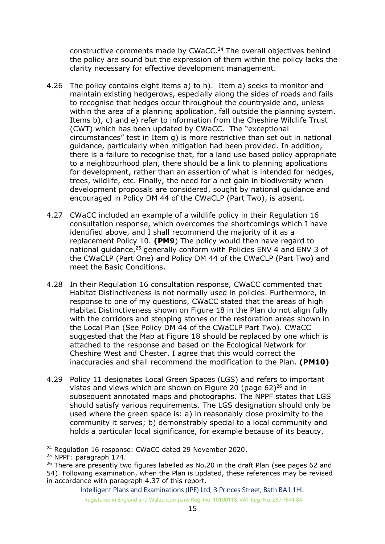constructive comments made by CWaCC.<sup>24</sup> The overall objectives behind the policy are sound but the expression of them within the policy lacks the clarity necessary for effective development management.

- 4.26 The policy contains eight items a) to h). Item a) seeks to monitor and maintain existing hedgerows, especially along the sides of roads and fails to recognise that hedges occur throughout the countryside and, unless within the area of a planning application, fall outside the planning system. Items b), c) and e) refer to information from the Cheshire Wildlife Trust (CWT) which has been updated by CWaCC. The "exceptional circumstances" test in Item g) is more restrictive than set out in national guidance, particularly when mitigation had been provided. In addition, there is a failure to recognise that, for a land use based policy appropriate to a neighbourhood plan, there should be a link to planning applications for development, rather than an assertion of what is intended for hedges, trees, wildlife, etc. Finally, the need for a net gain in biodiversity when development proposals are considered, sought by national guidance and encouraged in Policy DM 44 of the CWaCLP (Part Two), is absent.
- 4.27 CWaCC included an example of a wildlife policy in their Regulation 16 consultation response, which overcomes the shortcomings which I have identified above, and I shall recommend the majority of it as a replacement Policy 10. **(PM9**) The policy would then have regard to national guidance,<sup>25</sup> generally conform with Policies ENV 4 and ENV 3 of the CWaCLP (Part One) and Policy DM 44 of the CWaCLP (Part Two) and meet the Basic Conditions.
- 4.28 In their Regulation 16 consultation response, CWaCC commented that Habitat Distinctiveness is not normally used in policies. Furthermore, in response to one of my questions, CWaCC stated that the areas of high Habitat Distinctiveness shown on Figure 18 in the Plan do not align fully with the corridors and stepping stones or the restoration areas shown in the Local Plan (See Policy DM 44 of the CWaCLP Part Two). CWaCC suggested that the Map at Figure 18 should be replaced by one which is attached to the response and based on the Ecological Network for Cheshire West and Chester. I agree that this would correct the inaccuracies and shall recommend the modification to the Plan. **(PM10)**
- 4.29 Policy 11 designates Local Green Spaces (LGS) and refers to important vistas and views which are shown on Figure 20 (page 62)<sup>26</sup> and in subsequent annotated maps and photographs. The NPPF states that LGS should satisfy various requirements. The LGS designation should only be used where the green space is: a) in reasonably close proximity to the community it serves; b) demonstrably special to a local community and holds a particular local significance, for example because of its beauty,

<sup>&</sup>lt;sup>24</sup> Regulation 16 response: CWaCC dated 29 November 2020.

<sup>&</sup>lt;sup>25</sup> NPPF: paragraph 174.

 $26$  There are presently two figures labelled as No.20 in the draft Plan (see pages 62 and 54). Following examination, when the Plan is updated, these references may be revised in accordance with paragraph 4.37 of this report.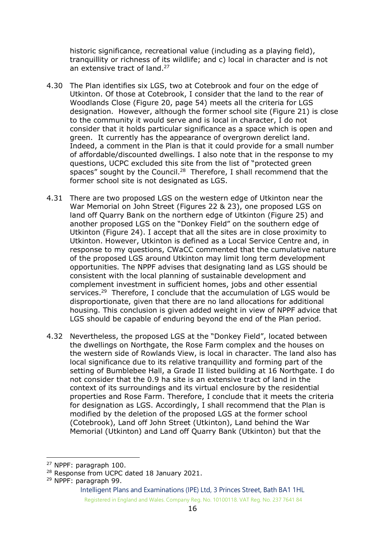historic significance, recreational value (including as a playing field), tranquillity or richness of its wildlife; and c) local in character and is not an extensive tract of land.<sup>27</sup>

- 4.30 The Plan identifies six LGS, two at Cotebrook and four on the edge of Utkinton. Of those at Cotebrook, I consider that the land to the rear of Woodlands Close (Figure 20, page 54) meets all the criteria for LGS designation. However, although the former school site (Figure 21) is close to the community it would serve and is local in character, I do not consider that it holds particular significance as a space which is open and green. It currently has the appearance of overgrown derelict land. Indeed, a comment in the Plan is that it could provide for a small number of affordable/discounted dwellings. I also note that in the response to my questions, UCPC excluded this site from the list of "protected green spaces" sought by the Council.<sup>28</sup> Therefore, I shall recommend that the former school site is not designated as LGS.
- 4.31 There are two proposed LGS on the western edge of Utkinton near the War Memorial on John Street (Figures 22 & 23), one proposed LGS on land off Quarry Bank on the northern edge of Utkinton (Figure 25) and another proposed LGS on the "Donkey Field" on the southern edge of Utkinton (Figure 24). I accept that all the sites are in close proximity to Utkinton. However, Utkinton is defined as a Local Service Centre and, in response to my questions, CWaCC commented that the cumulative nature of the proposed LGS around Utkinton may limit long term development opportunities. The NPPF advises that designating land as LGS should be consistent with the local planning of sustainable development and complement investment in sufficient homes, jobs and other essential services.<sup>29</sup> Therefore, I conclude that the accumulation of LGS would be disproportionate, given that there are no land allocations for additional housing. This conclusion is given added weight in view of NPPF advice that LGS should be capable of enduring beyond the end of the Plan period.
- 4.32 Nevertheless, the proposed LGS at the "Donkey Field", located between the dwellings on Northgate, the Rose Farm complex and the houses on the western side of Rowlands View, is local in character. The land also has local significance due to its relative tranquillity and forming part of the setting of Bumblebee Hall, a Grade II listed building at 16 Northgate. I do not consider that the 0.9 ha site is an extensive tract of land in the context of its surroundings and its virtual enclosure by the residential properties and Rose Farm. Therefore, I conclude that it meets the criteria for designation as LGS. Accordingly, I shall recommend that the Plan is modified by the deletion of the proposed LGS at the former school (Cotebrook), Land off John Street (Utkinton), Land behind the War Memorial (Utkinton) and Land off Quarry Bank (Utkinton) but that the

<sup>27</sup> NPPF: paragraph 100.

<sup>&</sup>lt;sup>28</sup> Response from UCPC dated 18 January 2021.

<sup>29</sup> NPPF: paragraph 99.

Intelligent Plans and Examinations (IPE) Ltd, 3 Princes Street, Bath BA1 1HL Registered in England and Wales. Company Reg. No. 10100118. VAT Reg. No. 237 7641 84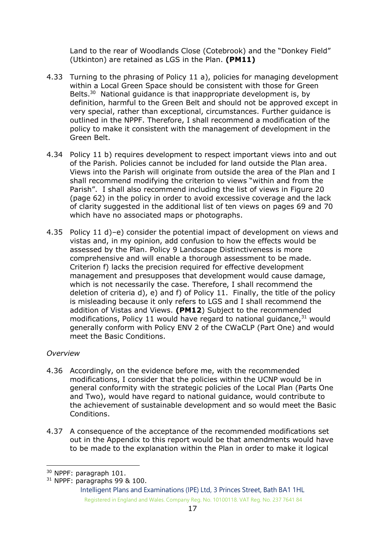Land to the rear of Woodlands Close (Cotebrook) and the "Donkey Field" (Utkinton) are retained as LGS in the Plan. **(PM11)**

- 4.33 Turning to the phrasing of Policy 11 a), policies for managing development within a Local Green Space should be consistent with those for Green Belts.<sup>30</sup> National quidance is that inappropriate development is, by definition, harmful to the Green Belt and should not be approved except in very special, rather than exceptional, circumstances. Further guidance is outlined in the NPPF. Therefore, I shall recommend a modification of the policy to make it consistent with the management of development in the Green Belt.
- 4.34 Policy 11 b) requires development to respect important views into and out of the Parish. Policies cannot be included for land outside the Plan area. Views into the Parish will originate from outside the area of the Plan and I shall recommend modifying the criterion to views "within and from the Parish". I shall also recommend including the list of views in Figure 20 (page 62) in the policy in order to avoid excessive coverage and the lack of clarity suggested in the additional list of ten views on pages 69 and 70 which have no associated maps or photographs.
- 4.35 Policy 11 d)–e) consider the potential impact of development on views and vistas and, in my opinion, add confusion to how the effects would be assessed by the Plan. Policy 9 Landscape Distinctiveness is more comprehensive and will enable a thorough assessment to be made. Criterion f) lacks the precision required for effective development management and presupposes that development would cause damage, which is not necessarily the case. Therefore, I shall recommend the deletion of criteria d), e) and f) of Policy 11. Finally, the title of the policy is misleading because it only refers to LGS and I shall recommend the addition of Vistas and Views. **(PM12**) Subject to the recommended modifications, Policy 11 would have regard to national guidance, $31$  would generally conform with Policy ENV 2 of the CWaCLP (Part One) and would meet the Basic Conditions.

## *Overview*

- 4.36 Accordingly, on the evidence before me, with the recommended modifications, I consider that the policies within the UCNP would be in general conformity with the strategic policies of the Local Plan (Parts One and Two), would have regard to national guidance, would contribute to the achievement of sustainable development and so would meet the Basic Conditions.
- 4.37 A consequence of the acceptance of the recommended modifications set out in the Appendix to this report would be that amendments would have to be made to the explanation within the Plan in order to make it logical

<sup>30</sup> NPPF: paragraph 101.

<sup>31</sup> NPPF: paragraphs 99 & 100.

Intelligent Plans and Examinations (IPE) Ltd, 3 Princes Street, Bath BA1 1HL Registered in England and Wales. Company Reg. No. 10100118. VAT Reg. No. 237 7641 84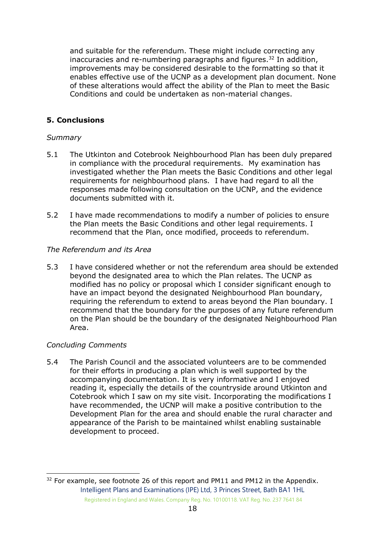and suitable for the referendum. These might include correcting any inaccuracies and re-numbering paragraphs and figures. $32$  In addition, improvements may be considered desirable to the formatting so that it enables effective use of the UCNP as a development plan document. None of these alterations would affect the ability of the Plan to meet the Basic Conditions and could be undertaken as non-material changes.

### **5. Conclusions**

#### *Summary*

- 5.1 The Utkinton and Cotebrook Neighbourhood Plan has been duly prepared in compliance with the procedural requirements. My examination has investigated whether the Plan meets the Basic Conditions and other legal requirements for neighbourhood plans. I have had regard to all the responses made following consultation on the UCNP, and the evidence documents submitted with it.
- 5.2 I have made recommendations to modify a number of policies to ensure the Plan meets the Basic Conditions and other legal requirements. I recommend that the Plan, once modified, proceeds to referendum.

#### *The Referendum and its Area*

5.3 I have considered whether or not the referendum area should be extended beyond the designated area to which the Plan relates. The UCNP as modified has no policy or proposal which I consider significant enough to have an impact beyond the designated Neighbourhood Plan boundary, requiring the referendum to extend to areas beyond the Plan boundary. I recommend that the boundary for the purposes of any future referendum on the Plan should be the boundary of the designated Neighbourhood Plan Area.

#### *Concluding Comments*

5.4 The Parish Council and the associated volunteers are to be commended for their efforts in producing a plan which is well supported by the accompanying documentation. It is very informative and I enjoyed reading it, especially the details of the countryside around Utkinton and Cotebrook which I saw on my site visit. Incorporating the modifications I have recommended, the UCNP will make a positive contribution to the Development Plan for the area and should enable the rural character and appearance of the Parish to be maintained whilst enabling sustainable development to proceed.

Intelligent Plans and Examinations (IPE) Ltd, 3 Princes Street, Bath BA1 1HL Registered in England and Wales. Company Reg. No. 10100118. VAT Reg. No. 237 7641 84  $32$  For example, see footnote 26 of this report and PM11 and PM12 in the Appendix.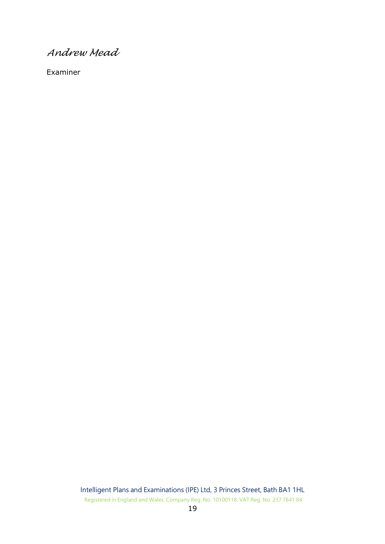*Andrew Mead*

Examiner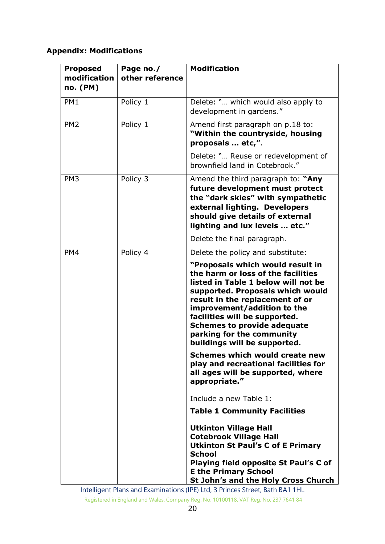## **Appendix: Modifications**

| <b>Proposed</b><br>modification<br>no. (PM) | Page no./<br>other reference | <b>Modification</b>                                                                                                                                                                                                                                                                                                                                                                                                                                                    |
|---------------------------------------------|------------------------------|------------------------------------------------------------------------------------------------------------------------------------------------------------------------------------------------------------------------------------------------------------------------------------------------------------------------------------------------------------------------------------------------------------------------------------------------------------------------|
| PM <sub>1</sub>                             | Policy 1                     | Delete: " which would also apply to<br>development in gardens."                                                                                                                                                                                                                                                                                                                                                                                                        |
| PM <sub>2</sub>                             | Policy 1                     | Amend first paragraph on p.18 to:<br>"Within the countryside, housing<br>proposals  etc,".                                                                                                                                                                                                                                                                                                                                                                             |
|                                             |                              | Delete: " Reuse or redevelopment of<br>brownfield land in Cotebrook."                                                                                                                                                                                                                                                                                                                                                                                                  |
| PM <sub>3</sub>                             | Policy 3                     | Amend the third paragraph to: "Any<br>future development must protect<br>the "dark skies" with sympathetic<br>external lighting. Developers<br>should give details of external<br>lighting and lux levels  etc."                                                                                                                                                                                                                                                       |
|                                             |                              | Delete the final paragraph.                                                                                                                                                                                                                                                                                                                                                                                                                                            |
| PM4                                         | Policy 4                     | Delete the policy and substitute:<br>"Proposals which would result in<br>the harm or loss of the facilities<br>listed in Table 1 below will not be<br>supported. Proposals which would<br>result in the replacement of or<br>improvement/addition to the<br>facilities will be supported.<br><b>Schemes to provide adequate</b><br>parking for the community<br>buildings will be supported.<br>Schemes which would create new<br>play and recreational facilities for |
|                                             |                              | all ages will be supported, where<br>appropriate."<br>Include a new Table 1:<br><b>Table 1 Community Facilities</b><br><b>Utkinton Village Hall</b><br><b>Cotebrook Village Hall</b><br><b>Utkinton St Paul's C of E Primary</b><br><b>School</b><br>Playing field opposite St Paul's C of<br><b>E the Primary School</b>                                                                                                                                              |
|                                             |                              | St John's and the Holy Cross Church                                                                                                                                                                                                                                                                                                                                                                                                                                    |

Intelligent Plans and Examinations (IPE) Ltd, 3 Princes Street, Bath BA1 1HL Registered in England and Wales. Company Reg. No. 10100118. VAT Reg. No. 237 7641 84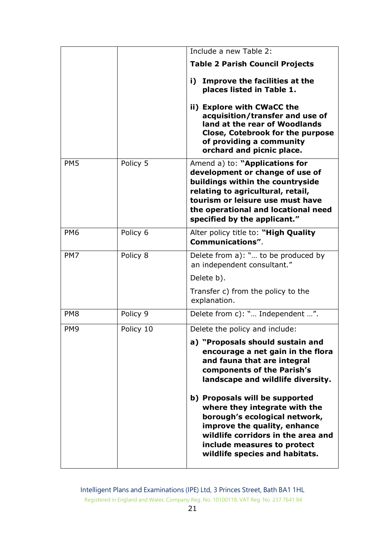|                 |           | Include a new Table 2:                                                                                                                                                                                                                                |
|-----------------|-----------|-------------------------------------------------------------------------------------------------------------------------------------------------------------------------------------------------------------------------------------------------------|
|                 |           | <b>Table 2 Parish Council Projects</b>                                                                                                                                                                                                                |
|                 |           | Improve the facilities at the<br>i) -<br>places listed in Table 1.                                                                                                                                                                                    |
|                 |           | ii) Explore with CWaCC the<br>acquisition/transfer and use of<br>land at the rear of Woodlands<br>Close, Cotebrook for the purpose<br>of providing a community<br>orchard and picnic place.                                                           |
| PM <sub>5</sub> | Policy 5  | Amend a) to: "Applications for<br>development or change of use of<br>buildings within the countryside<br>relating to agricultural, retail,<br>tourism or leisure use must have<br>the operational and locational need<br>specified by the applicant." |
| PM <sub>6</sub> | Policy 6  | Alter policy title to: "High Quality<br><b>Communications".</b>                                                                                                                                                                                       |
| PM7             | Policy 8  | Delete from a): " to be produced by<br>an independent consultant."                                                                                                                                                                                    |
|                 |           | Delete b).                                                                                                                                                                                                                                            |
|                 |           | Transfer c) from the policy to the<br>explanation.                                                                                                                                                                                                    |
| PM <sub>8</sub> | Policy 9  | Delete from c): " Independent ".                                                                                                                                                                                                                      |
| PM <sub>9</sub> | Policy 10 | Delete the policy and include:                                                                                                                                                                                                                        |
|                 |           | a) "Proposals should sustain and<br>encourage a net gain in the flora<br>and fauna that are integral<br>components of the Parish's<br>landscape and wildlife diversity.                                                                               |
|                 |           | b) Proposals will be supported<br>where they integrate with the<br>borough's ecological network,<br>improve the quality, enhance<br>wildlife corridors in the area and<br>include measures to protect<br>wildlife species and habitats.               |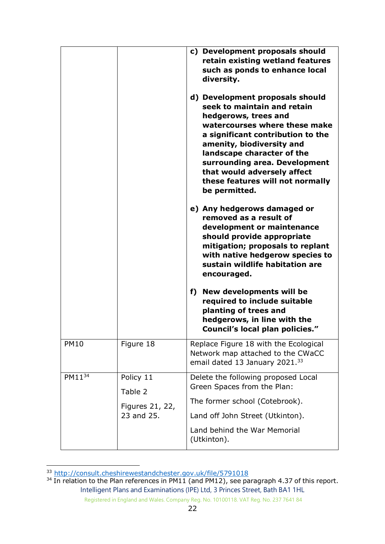|             |                                                       | c) Development proposals should<br>retain existing wetland features<br>such as ponds to enhance local<br>diversity.<br>d) Development proposals should<br>seek to maintain and retain<br>hedgerows, trees and<br>watercourses where these make<br>a significant contribution to the<br>amenity, biodiversity and<br>landscape character of the<br>surrounding area. Development<br>that would adversely affect<br>these features will not normally<br>be permitted.<br>e) Any hedgerows damaged or<br>removed as a result of<br>development or maintenance<br>should provide appropriate<br>mitigation; proposals to replant<br>with native hedgerow species to<br>sustain wildlife habitation are<br>encouraged.<br>f) New developments will be<br>required to include suitable<br>planting of trees and<br>hedgerows, in line with the |
|-------------|-------------------------------------------------------|------------------------------------------------------------------------------------------------------------------------------------------------------------------------------------------------------------------------------------------------------------------------------------------------------------------------------------------------------------------------------------------------------------------------------------------------------------------------------------------------------------------------------------------------------------------------------------------------------------------------------------------------------------------------------------------------------------------------------------------------------------------------------------------------------------------------------------------|
|             |                                                       | Council's local plan policies."                                                                                                                                                                                                                                                                                                                                                                                                                                                                                                                                                                                                                                                                                                                                                                                                          |
| <b>PM10</b> | Figure 18                                             | Replace Figure 18 with the Ecological<br>Network map attached to the CWaCC<br>email dated 13 January 2021. <sup>33</sup>                                                                                                                                                                                                                                                                                                                                                                                                                                                                                                                                                                                                                                                                                                                 |
| $PM11^{34}$ | Policy 11<br>Table 2<br>Figures 21, 22,<br>23 and 25. | Delete the following proposed Local<br>Green Spaces from the Plan:<br>The former school (Cotebrook).<br>Land off John Street (Utkinton).<br>Land behind the War Memorial                                                                                                                                                                                                                                                                                                                                                                                                                                                                                                                                                                                                                                                                 |

<sup>33</sup> <http://consult.cheshirewestandchester.gov.uk/file/5791018>

Intelligent Plans and Examinations (IPE) Ltd, 3 Princes Street, Bath BA1 1HL  $34$  In relation to the Plan references in PM11 (and PM12), see paragraph 4.37 of this report.

Registered in England and Wales. Company Reg. No. 10100118. VAT Reg. No. 237 7641 84